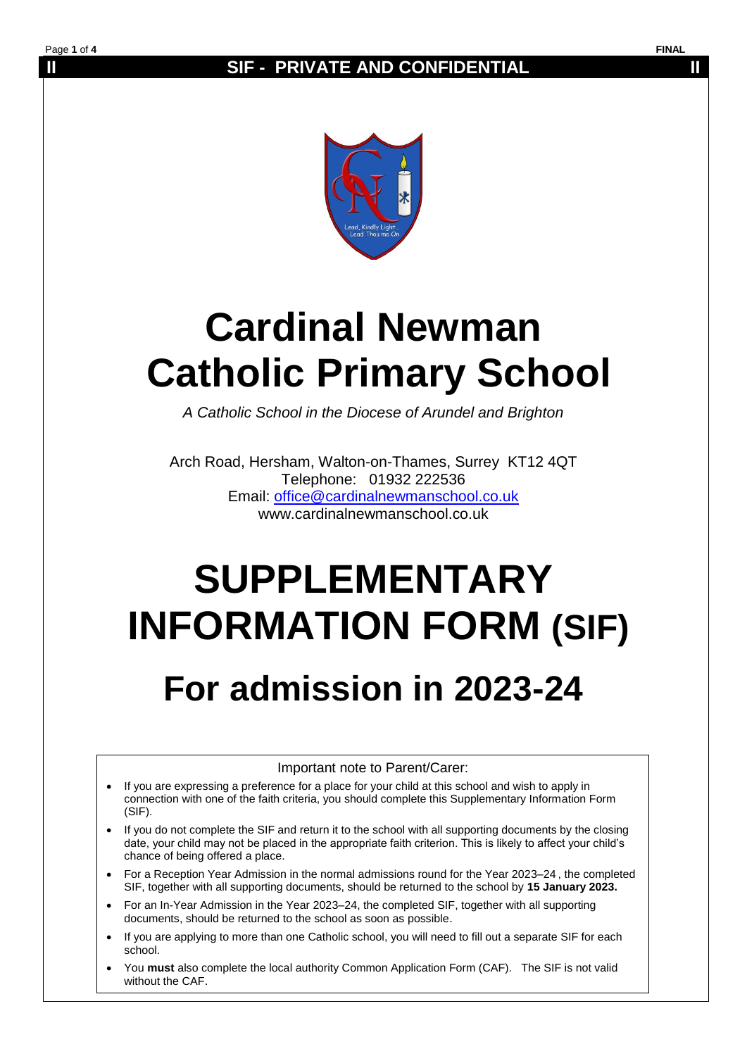## **II SIF - PRIVATE AND CONFIDENTIAL II**



# **Cardinal Newman Catholic Primary School**

*A Catholic School in the Diocese of Arundel and Brighton*

Arch Road, Hersham, Walton-on-Thames, Surrey KT12 4QT Telephone: 01932 222536 Email: [office@cardinalnewmanschool.co.uk](mailto:office@cardinalnewmanschool.co.uk)  www.cardinalnewmanschool.co.uk

# **SUPPLEMENTARY INFORMATION FORM (SIF) For admission in 2023-24**

Important note to Parent/Carer:

- If you are expressing a preference for a place for your child at this school and wish to apply in connection with one of the faith criteria, you should complete this Supplementary Information Form (SIF).
- If you do not complete the SIF and return it to the school with all supporting documents by the closing date, your child may not be placed in the appropriate faith criterion. This is likely to affect your child's chance of being offered a place.
- For a Reception Year Admission in the normal admissions round for the Year 2023–24 , the completed SIF, together with all supporting documents, should be returned to the school by **15 January 2023.**
- For an In-Year Admission in the Year 2023–24, the completed SIF, together with all supporting documents, should be returned to the school as soon as possible.
- If you are applying to more than one Catholic school, you will need to fill out a separate SIF for each school.
- You **must** also complete the local authority Common Application Form (CAF). The SIF is not valid without the CAF.

Page **1** of **4 FINAL**

Ī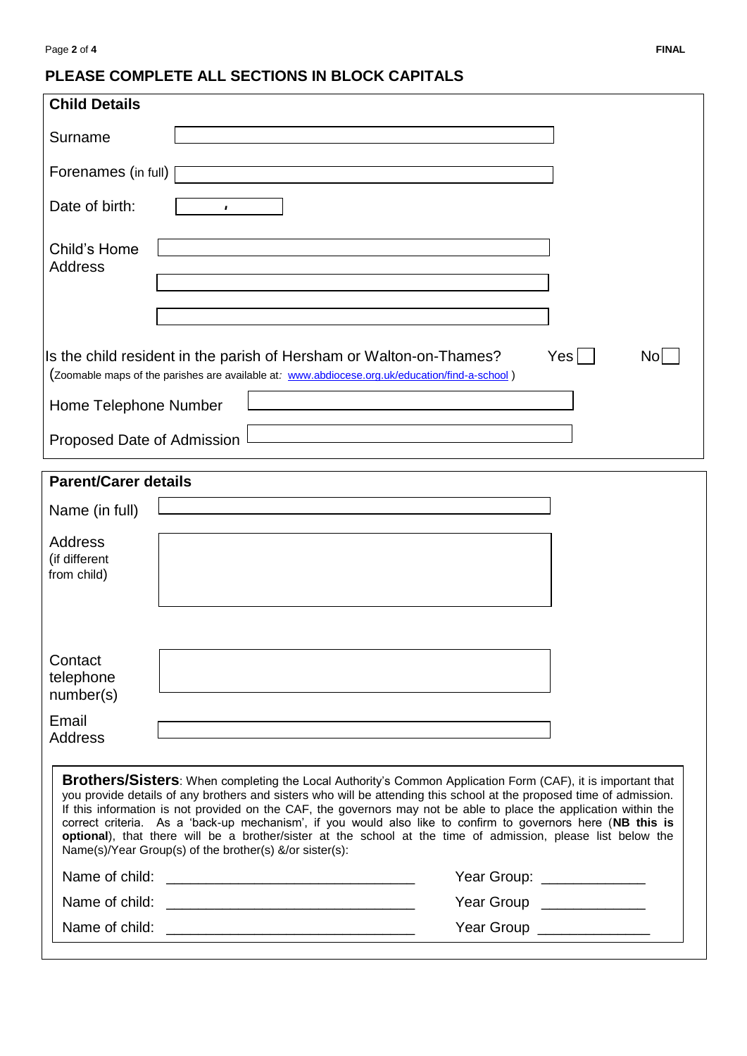# **PLEASE COMPLETE ALL SECTIONS IN BLOCK CAPITALS**

| Surname<br>Forenames (in full)<br>Date of birth:<br>$\pmb{I}$<br>Child's Home<br><b>Address</b>                                                                                                                                                                                                                                                                                                                                                                                                                                                                                                                                                           |
|-----------------------------------------------------------------------------------------------------------------------------------------------------------------------------------------------------------------------------------------------------------------------------------------------------------------------------------------------------------------------------------------------------------------------------------------------------------------------------------------------------------------------------------------------------------------------------------------------------------------------------------------------------------|
|                                                                                                                                                                                                                                                                                                                                                                                                                                                                                                                                                                                                                                                           |
|                                                                                                                                                                                                                                                                                                                                                                                                                                                                                                                                                                                                                                                           |
|                                                                                                                                                                                                                                                                                                                                                                                                                                                                                                                                                                                                                                                           |
|                                                                                                                                                                                                                                                                                                                                                                                                                                                                                                                                                                                                                                                           |
|                                                                                                                                                                                                                                                                                                                                                                                                                                                                                                                                                                                                                                                           |
| Yesl<br>Is the child resident in the parish of Hersham or Walton-on-Thames?<br>Nol<br>(Zoomable maps of the parishes are available at: www.abdiocese.org.uk/education/find-a-school)<br>Home Telephone Number                                                                                                                                                                                                                                                                                                                                                                                                                                             |
| Proposed Date of Admission                                                                                                                                                                                                                                                                                                                                                                                                                                                                                                                                                                                                                                |
| <b>Parent/Carer details</b>                                                                                                                                                                                                                                                                                                                                                                                                                                                                                                                                                                                                                               |
| Name (in full)                                                                                                                                                                                                                                                                                                                                                                                                                                                                                                                                                                                                                                            |
| Address<br>(if different<br>from child)                                                                                                                                                                                                                                                                                                                                                                                                                                                                                                                                                                                                                   |
|                                                                                                                                                                                                                                                                                                                                                                                                                                                                                                                                                                                                                                                           |
| Contact<br>telephone<br>number(s)                                                                                                                                                                                                                                                                                                                                                                                                                                                                                                                                                                                                                         |
| Email<br><b>Address</b>                                                                                                                                                                                                                                                                                                                                                                                                                                                                                                                                                                                                                                   |
| <b>Brothers/Sisters:</b> When completing the Local Authority's Common Application Form (CAF), it is important that<br>you provide details of any brothers and sisters who will be attending this school at the proposed time of admission.<br>If this information is not provided on the CAF, the governors may not be able to place the application within the<br>correct criteria. As a 'back-up mechanism', if you would also like to confirm to governors here (NB this is<br>optional), that there will be a brother/sister at the school at the time of admission, please list below the<br>Name(s)/Year Group(s) of the brother(s) &/or sister(s): |
| Year Group: ______________                                                                                                                                                                                                                                                                                                                                                                                                                                                                                                                                                                                                                                |
| Year Group ______________                                                                                                                                                                                                                                                                                                                                                                                                                                                                                                                                                                                                                                 |
| Year Group _______________                                                                                                                                                                                                                                                                                                                                                                                                                                                                                                                                                                                                                                |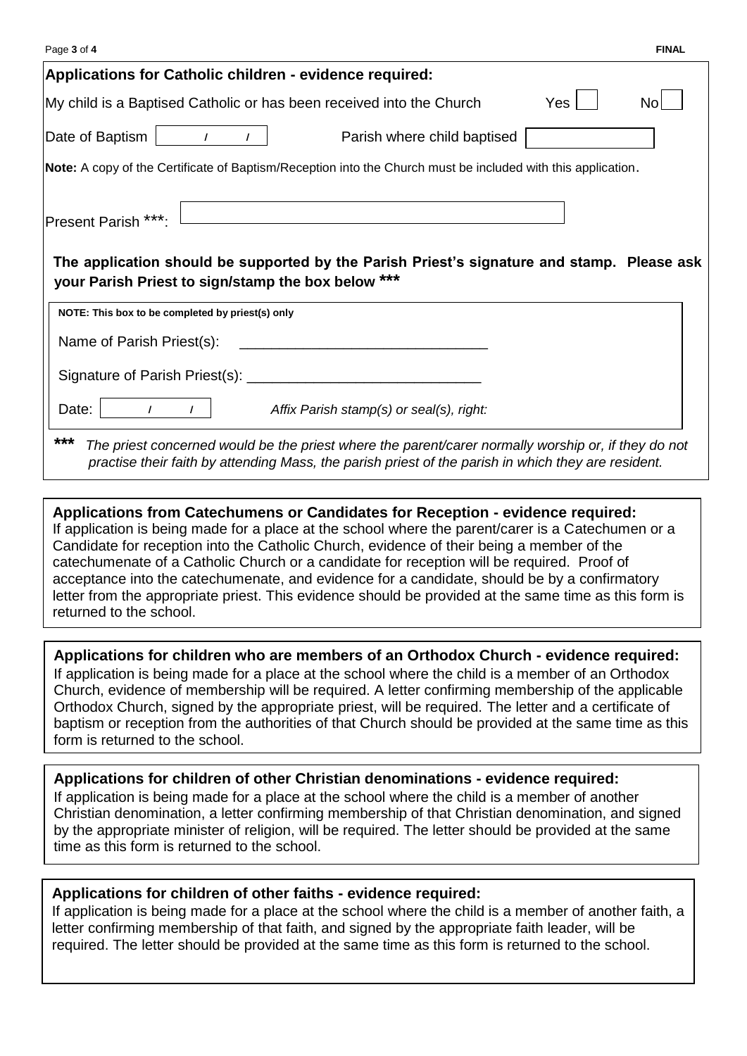| Page 3 of 4                                                                                                                                                                                                       |     | <b>FINAL</b> |
|-------------------------------------------------------------------------------------------------------------------------------------------------------------------------------------------------------------------|-----|--------------|
| Applications for Catholic children - evidence required:                                                                                                                                                           |     |              |
| My child is a Baptised Catholic or has been received into the Church                                                                                                                                              | Yes | No           |
| Date of Baptism<br>Parish where child baptised<br>$\prime$                                                                                                                                                        |     |              |
| Note: A copy of the Certificate of Baptism/Reception into the Church must be included with this application.                                                                                                      |     |              |
| Present Parish ***:<br>The application should be supported by the Parish Priest's signature and stamp. Please ask<br>your Parish Priest to sign/stamp the box below ***                                           |     |              |
| NOTE: This box to be completed by priest(s) only                                                                                                                                                                  |     |              |
| Name of Parish Priest(s):                                                                                                                                                                                         |     |              |
|                                                                                                                                                                                                                   |     |              |
| Date:<br>Affix Parish stamp(s) or seal(s), right:                                                                                                                                                                 |     |              |
| ***<br>The priest concerned would be the priest where the parent/carer normally worship or, if they do not<br>practise their faith by attending Mass, the parish priest of the parish in which they are resident. |     |              |

#### **Applications from Catechumens or Candidates for Reception - evidence required:** If application is being made for a place at the school where the parent/carer is a Catechumen or a Candidate for reception into the Catholic Church, evidence of their being a member of the catechumenate of a Catholic Church or a candidate for reception will be required. Proof of acceptance into the catechumenate, and evidence for a candidate, should be by a confirmatory letter from the appropriate priest. This evidence should be provided at the same time as this form is returned to the school.

### **Applications for children who are members of an Orthodox Church - evidence required:**

If application is being made for a place at the school where the child is a member of an Orthodox Church, evidence of membership will be required. A letter confirming membership of the applicable Orthodox Church, signed by the appropriate priest, will be required. The letter and a certificate of baptism or reception from the authorities of that Church should be provided at the same time as this form is returned to the school.

### **Applications for children of other Christian denominations - evidence required:**

If application is being made for a place at the school where the child is a member of another Christian denomination, a letter confirming membership of that Christian denomination, and signed by the appropriate minister of religion, will be required. The letter should be provided at the same time as this form is returned to the school.

### **Applications for children of other faiths - evidence required:**

If application is being made for a place at the school where the child is a member of another faith, a letter confirming membership of that faith, and signed by the appropriate faith leader, will be required. The letter should be provided at the same time as this form is returned to the school.